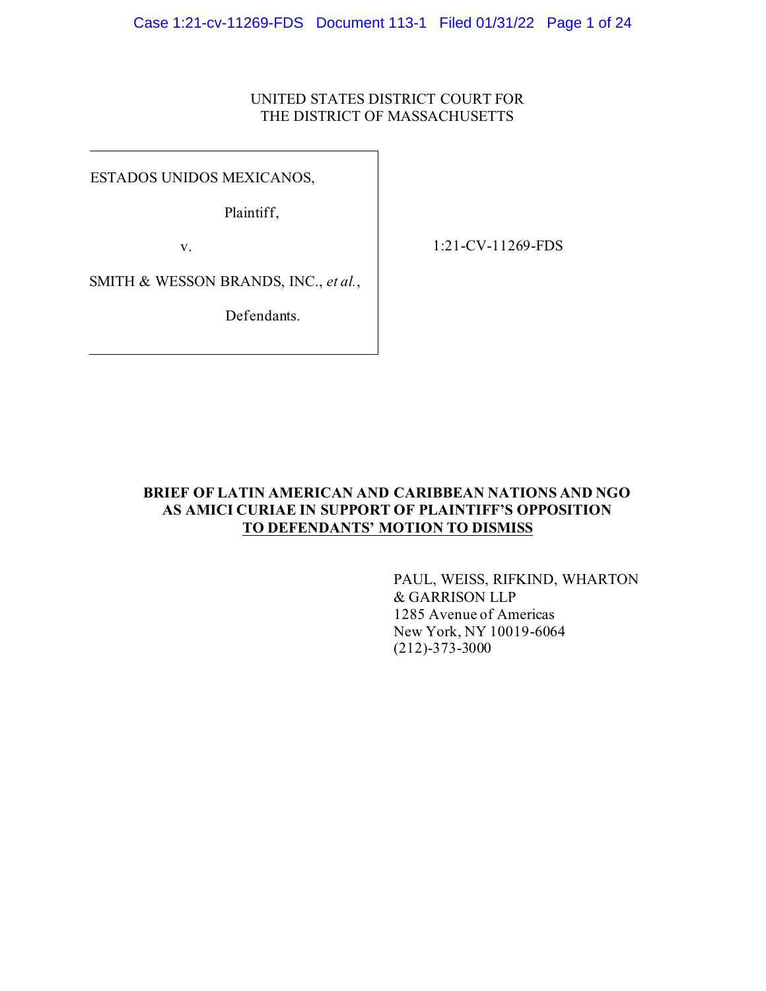# UNITED STATES DISTRICT COURT FOR THE DISTRICT OF MASSACHUSETTS

ESTADOS UNIDOS MEXICANOS,

Plaintiff,

v.

1:21-CV-11269-FDS

SMITH & WESSON BRANDS, INC., *et al.*,

Defendants.

# **BRIEF OF LATIN AMERICAN AND CARIBBEAN NATIONS AND NGO AS AMICI CURIAE IN SUPPORT OF PLAINTIFF'S OPPOSITION TO DEFENDANTS' MOTION TO DISMISS**

PAUL, WEISS, RIFKIND, WHARTON & GARRISON LLP 1285 Avenue of Americas New York, NY 10019-6064 (212)-373-3000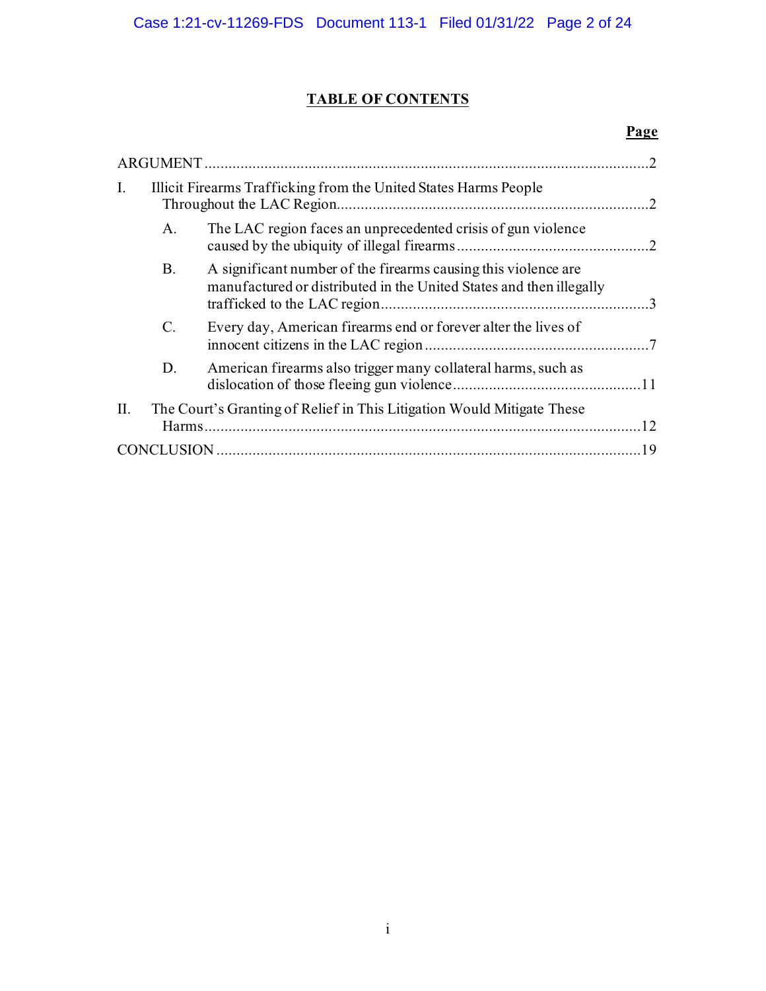# **TABLE OF CONTENTS**

# **Page**

| $\mathcal{L}$                                                                 |                                                                  |                                                                                                                                       |  |  |  |
|-------------------------------------------------------------------------------|------------------------------------------------------------------|---------------------------------------------------------------------------------------------------------------------------------------|--|--|--|
| I.                                                                            | Illicit Firearms Trafficking from the United States Harms People |                                                                                                                                       |  |  |  |
|                                                                               | A.                                                               | The LAC region faces an unprecedented crisis of gun violence                                                                          |  |  |  |
|                                                                               | Β.                                                               | A significant number of the firearms causing this violence are<br>manufactured or distributed in the United States and then illegally |  |  |  |
|                                                                               | C.                                                               | Every day, American firearms end or forever alter the lives of                                                                        |  |  |  |
|                                                                               | D.                                                               | American firearms also trigger many collateral harms, such as                                                                         |  |  |  |
| The Court's Granting of Relief in This Litigation Would Mitigate These<br>II. |                                                                  |                                                                                                                                       |  |  |  |
|                                                                               |                                                                  |                                                                                                                                       |  |  |  |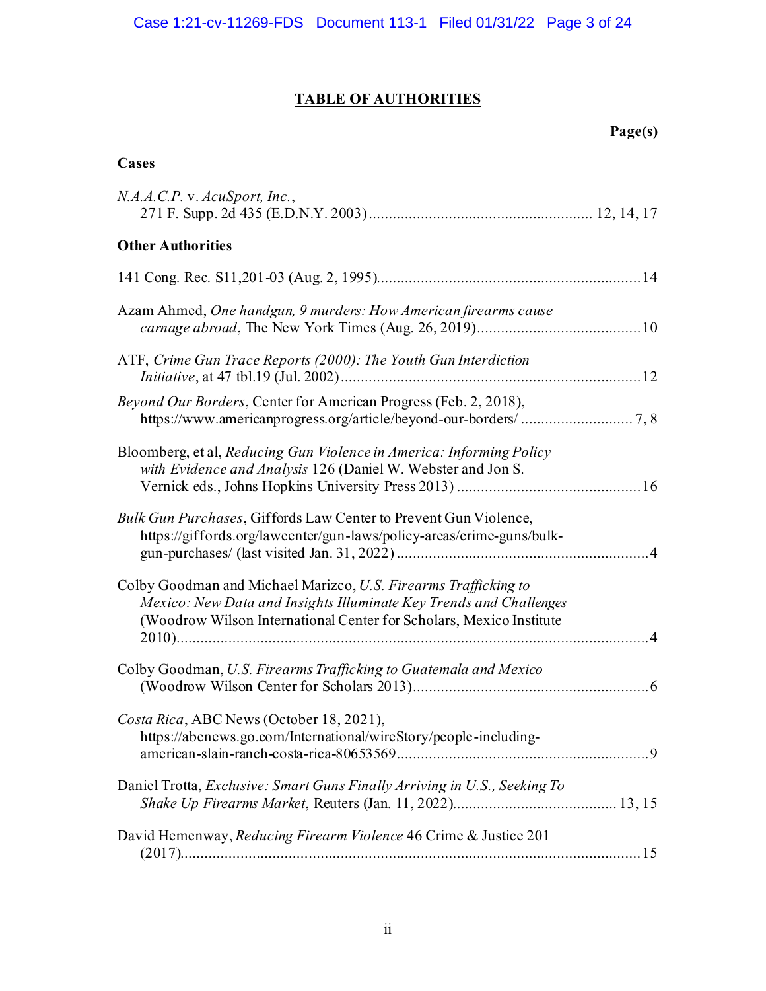# **TABLE OF AUTHORITIES**

# **Page(s)**

# **Cases**

| N.A.A.C.P. v. AcuSport, Inc.,                                                                                                                                                                                |
|--------------------------------------------------------------------------------------------------------------------------------------------------------------------------------------------------------------|
| <b>Other Authorities</b>                                                                                                                                                                                     |
|                                                                                                                                                                                                              |
| Azam Ahmed, One handgun, 9 murders: How American firearms cause                                                                                                                                              |
| ATF, Crime Gun Trace Reports (2000): The Youth Gun Interdiction                                                                                                                                              |
| Beyond Our Borders, Center for American Progress (Feb. 2, 2018),                                                                                                                                             |
| Bloomberg, et al, Reducing Gun Violence in America: Informing Policy<br>with Evidence and Analysis 126 (Daniel W. Webster and Jon S.                                                                         |
| Bulk Gun Purchases, Giffords Law Center to Prevent Gun Violence,<br>https://giffords.org/lawcenter/gun-laws/policy-areas/crime-guns/bulk-                                                                    |
| Colby Goodman and Michael Marizco, U.S. Firearms Trafficking to<br>Mexico: New Data and Insights Illuminate Key Trends and Challenges<br>(Woodrow Wilson International Center for Scholars, Mexico Institute |
| Colby Goodman, U.S. Firearms Trafficking to Guatemala and Mexico                                                                                                                                             |
| Costa Rica, ABC News (October 18, 2021),<br>https://abcnews.go.com/International/wireStory/people-including-                                                                                                 |
| Daniel Trotta, Exclusive: Smart Guns Finally Arriving in U.S., Seeking To                                                                                                                                    |
| David Hemenway, Reducing Firearm Violence 46 Crime & Justice 201                                                                                                                                             |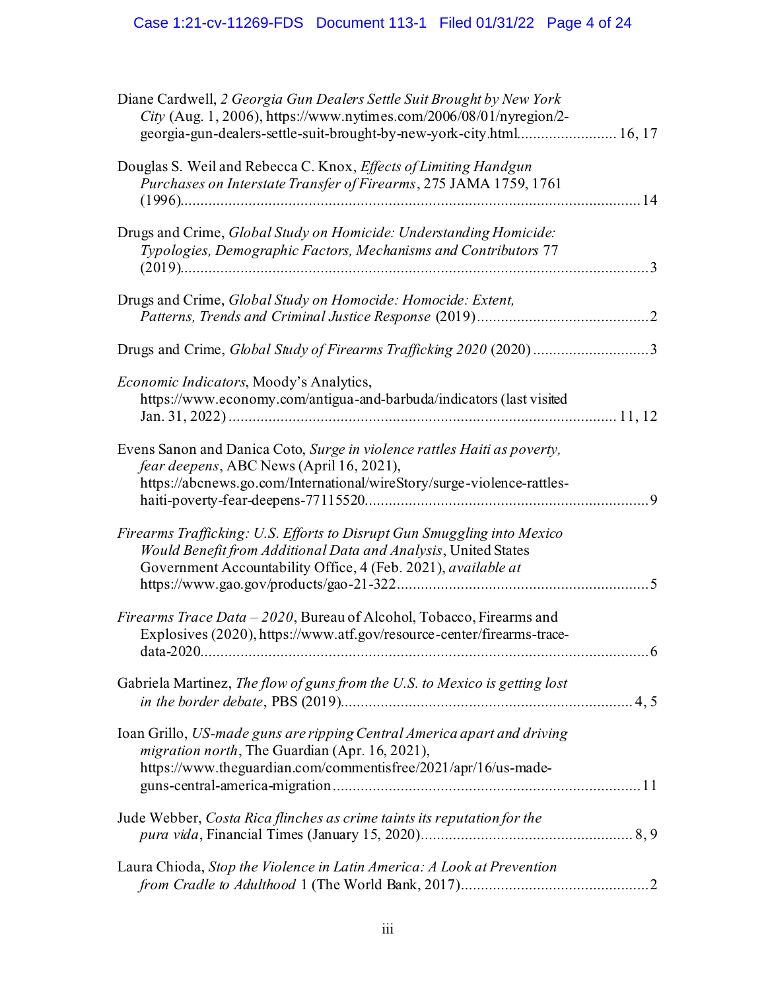# Case 1:21-cv-11269-FDS Document 113-1 Filed 01/31/22 Page 4 of 24

| Diane Cardwell, 2 Georgia Gun Dealers Settle Suit Brought by New York<br>City (Aug. 1, 2006), https://www.nytimes.com/2006/08/01/nyregion/2-                                                               |  |
|------------------------------------------------------------------------------------------------------------------------------------------------------------------------------------------------------------|--|
| Douglas S. Weil and Rebecca C. Knox, Effects of Limiting Handgun<br>Purchases on Interstate Transfer of Firearms, 275 JAMA 1759, 1761                                                                      |  |
| Drugs and Crime, Global Study on Homicide: Understanding Homicide:<br>Typologies, Demographic Factors, Mechanisms and Contributors 77                                                                      |  |
| Drugs and Crime, Global Study on Homocide: Homocide: Extent,                                                                                                                                               |  |
| Drugs and Crime, Global Study of Firearms Trafficking 2020 (2020)3                                                                                                                                         |  |
| <i>Economic Indicators, Moody's Analytics,</i><br>https://www.economy.com/antigua-and-barbuda/indicators (last visited                                                                                     |  |
| Evens Sanon and Danica Coto, Surge in violence rattles Haiti as poverty,<br>fear deepens, ABC News (April 16, 2021),<br>https://abcnews.go.com/International/wireStory/surge-violence-rattles-             |  |
| Firearms Trafficking: U.S. Efforts to Disrupt Gun Smuggling into Mexico<br>Would Benefit from Additional Data and Analysis, United States<br>Government Accountability Office, 4 (Feb. 2021), available at |  |
| Firearms Trace Data – 2020, Bureau of Alcohol, Tobacco, Firearms and<br>Explosives (2020), https://www.atf.gov/resource-center/firearms-trace-<br>6                                                        |  |
| Gabriela Martinez, The flow of guns from the U.S. to Mexico is getting lost                                                                                                                                |  |
| Ioan Grillo, US-made guns are ripping Central America apart and driving<br><i>migration north</i> , The Guardian (Apr. 16, 2021),<br>https://www.theguardian.com/commentisfree/2021/apr/16/us-made-        |  |
| Jude Webber, Costa Rica flinches as crime taints its reputation for the                                                                                                                                    |  |
| Laura Chioda, Stop the Violence in Latin America: A Look at Prevention                                                                                                                                     |  |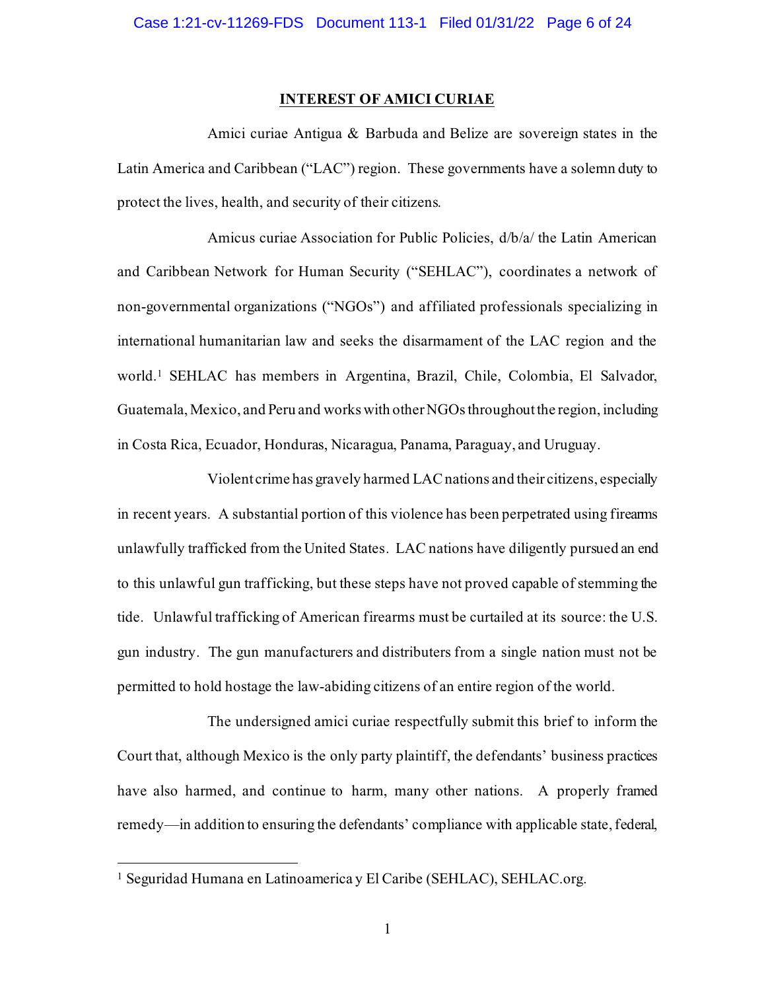## **INTEREST OF AMICI CURIAE**

Amici curiae Antigua & Barbuda and Belize are sovereign states in the Latin America and Caribbean ("LAC") region. These governments have a solemn duty to protect the lives, health, and security of their citizens.

Amicus curiae Association for Public Policies, d/b/a/ the Latin American and Caribbean Network for Human Security ("SEHLAC"), coordinates a network of non-governmental organizations ("NGOs") and affiliated professionals specializing in international humanitarian law and seeks the disarmament of the LAC region and the world.<sup>1</sup> SEHLAC has members in Argentina, Brazil, Chile, Colombia, El Salvador, Guatemala, Mexico, and Peru and works with other NGOs throughoutthe region, including in Costa Rica, Ecuador, Honduras, Nicaragua, Panama, Paraguay, and Uruguay.

Violent crime has gravely harmed LAC nations and their citizens, especially in recent years. A substantial portion of this violence has been perpetrated using firearms unlawfully trafficked from the United States. LAC nations have diligently pursued an end to this unlawful gun trafficking, but these steps have not proved capable of stemming the tide. Unlawful trafficking of American firearms must be curtailed at its source: the U.S. gun industry. The gun manufacturers and distributers from a single nation must not be permitted to hold hostage the law-abiding citizens of an entire region of the world.

The undersigned amici curiae respectfully submit this brief to inform the Court that, although Mexico is the only party plaintiff, the defendants' business practices have also harmed, and continue to harm, many other nations. A properly framed remedy—in addition to ensuring the defendants' compliance with applicable state, federal,

<sup>1</sup> Seguridad Humana en Latinoamerica y El Caribe (SEHLAC), SEHLAC.org.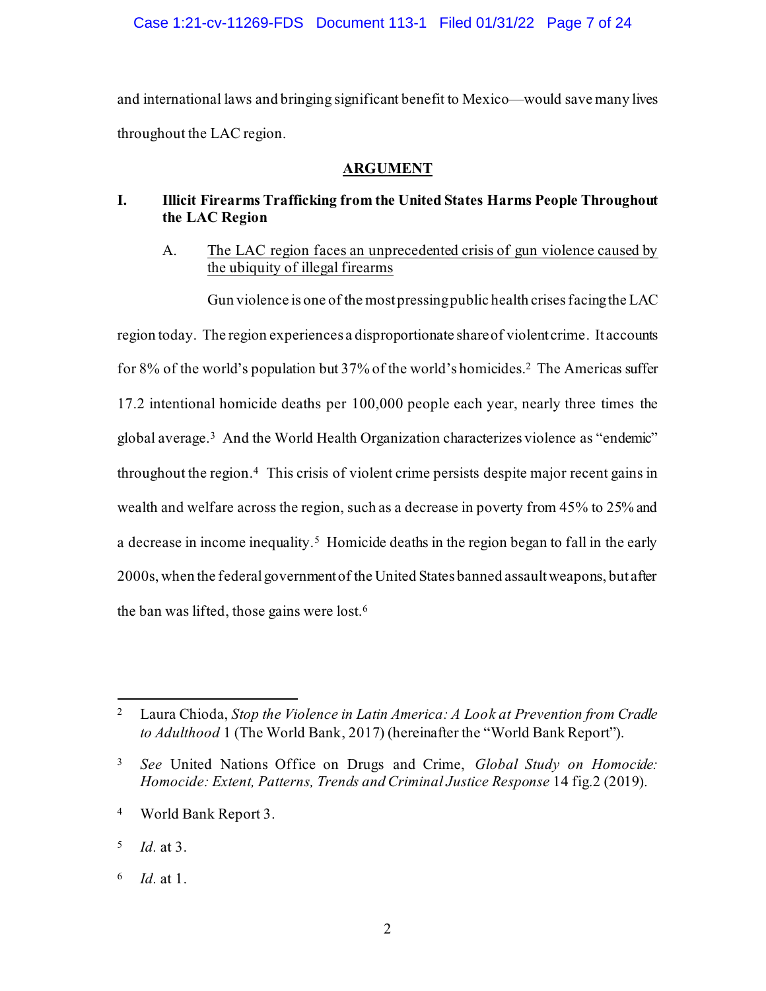Case 1:21-cv-11269-FDS Document 113-1 Filed 01/31/22 Page 7 of 24

and international laws and bringing significant benefit to Mexico—would save many lives throughout the LAC region.

# **ARGUMENT**

# <span id="page-6-1"></span><span id="page-6-0"></span>**I. Illicit Firearms Trafficking from the United States Harms People Throughout the LAC Region**

<span id="page-6-2"></span>A. The LAC region faces an unprecedented crisis of gun violence caused by the ubiquity of illegal firearms

Gun violence is one of the most pressing public health crises facing the LAC region today. The region experiences a disproportionate share of violent crime. It accounts for 8% of the world's population but 37% of the world's homicides.<sup>2</sup> The Americas suffer 17.2 intentional homicide deaths per 100,000 people each year, nearly three times the global average.<sup>3</sup> And the World Health Organization characterizes violence as "endemic" throughout the region. 4 This crisis of violent crime persists despite major recent gains in wealth and welfare across the region, such as a decrease in poverty from 45% to 25% and a decrease in income inequality.<sup>5</sup> Homicide deaths in the region began to fall in the early 2000s, when the federal government of the United States banned assault weapons, but after the ban was lifted, those gains were lost.<sup>6</sup>

<sup>4</sup> World Bank Report 3.

6 *Id.* at 1.

<sup>2</sup> Laura Chioda, *Stop the Violence in Latin America: A Look at Prevention from Cradle to Adulthood* 1 (The World Bank, 2017) (hereinafter the "World Bank Report").

<sup>3</sup> *See* United Nations Office on Drugs and Crime, *Global Study on Homocide: Homocide: Extent, Patterns, Trends and Criminal Justice Response* 14 fig.2 (2019).

<sup>5</sup> *Id.* at 3.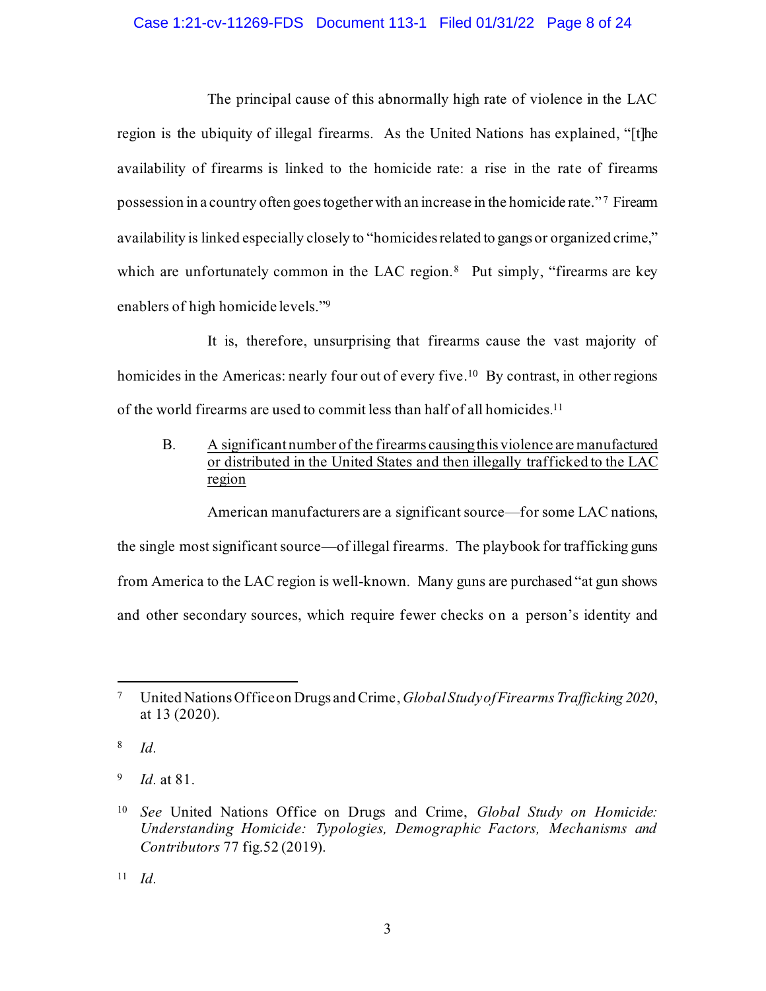## Case 1:21-cv-11269-FDS Document 113-1 Filed 01/31/22 Page 8 of 24

The principal cause of this abnormally high rate of violence in the LAC region is the ubiquity of illegal firearms. As the United Nations has explained, "[t]he availability of firearms is linked to the homicide rate: a rise in the rate of firearms possession in a country often goes together with an increase in the homicide rate."<sup>7</sup> Firearm availability is linked especially closely to "homicides related to gangs or organized crime," which are unfortunately common in the LAC region.<sup>8</sup> Put simply, "firearms are key enablers of high homicide levels."<sup>9</sup>

It is, therefore, unsurprising that firearms cause the vast majority of homicides in the Americas: nearly four out of every five.<sup>10</sup> By contrast, in other regions of the world firearms are used to commit less than half of all homicides.<sup>11</sup>

<span id="page-7-0"></span>B. A significant number of the firearms causing this violence are manufactured or distributed in the United States and then illegally trafficked to the LAC region

American manufacturers are a significant source—for some LAC nations, the single most significant source—of illegal firearms. The playbook for trafficking guns from America to the LAC region is well-known. Many guns are purchased "at gun shows and other secondary sources, which require fewer checks on a person's identity and

8 *Id.*

9 *Id.* at 81.

<sup>11</sup> *Id.*

<span id="page-7-2"></span><sup>7</sup> United Nations Office on Drugs and Crime, *Global Study of Firearms Trafficking 2020*, at 13 (2020).

<span id="page-7-1"></span><sup>10</sup> *See* United Nations Office on Drugs and Crime, *Global Study on Homicide: Understanding Homicide: Typologies, Demographic Factors, Mechanisms and Contributors* 77 fig.52 (2019).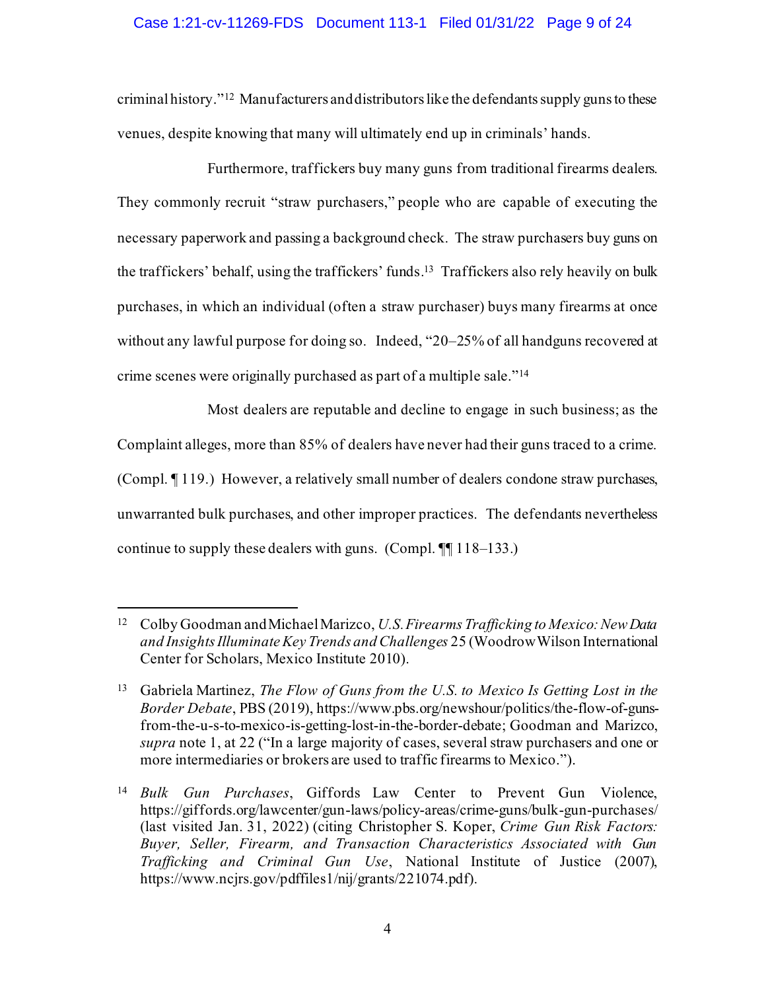# Case 1:21-cv-11269-FDS Document 113-1 Filed 01/31/22 Page 9 of 24

criminal history."<sup>12</sup> Manufacturers and distributors like the defendants supply guns to these venues, despite knowing that many will ultimately end up in criminals' hands.

Furthermore, traffickers buy many guns from traditional firearms dealers. They commonly recruit "straw purchasers," people who are capable of executing the necessary paperwork and passing a background check. The straw purchasers buy guns on the traffickers' behalf, using the traffickers' funds. 13 Traffickers also rely heavily on bulk purchases, in which an individual (often a straw purchaser) buys many firearms at once without any lawful purpose for doing so. Indeed, "20–25% of all handguns recovered at crime scenes were originally purchased as part of a multiple sale."<sup>14</sup>

Most dealers are reputable and decline to engage in such business; as the Complaint alleges, more than 85% of dealers have never had their guns traced to a crime. (Compl. ¶ 119.) However, a relatively small number of dealers condone straw purchases, unwarranted bulk purchases, and other improper practices. The defendants nevertheless continue to supply these dealers with guns. (Compl. ¶¶ 118–133.)

<sup>12</sup> Colby Goodman and Michael Marizco, *U.S. Firearms Trafficking to Mexico: New Data and Insights Illuminate Key Trends and Challenges* 25 (Woodrow Wilson International Center for Scholars, Mexico Institute 2010).

<span id="page-8-0"></span><sup>13</sup> Gabriela Martinez, *The Flow of Guns from the U.S. to Mexico Is Getting Lost in the Border Debate*, PBS (2019), https://www.pbs.org/newshour/politics/the-flow-of-gunsfrom-the-u-s-to-mexico-is-getting-lost-in-the-border-debate; Goodman and Marizco, *supra* note 1, at 22 ("In a large majority of cases, several straw purchasers and one or more intermediaries or brokers are used to traffic firearms to Mexico.").

<sup>14</sup> *Bulk Gun Purchases*, Giffords Law Center to Prevent Gun Violence, https://giffords.org/lawcenter/gun-laws/policy-areas/crime-guns/bulk-gun-purchases/ (last visited Jan. 31, 2022) (citing Christopher S. Koper, *Crime Gun Risk Factors: Buyer, Seller, Firearm, and Transaction Characteristics Associated with Gun Trafficking and Criminal Gun Use*, National Institute of Justice (2007), https://www.ncjrs.gov/pdffiles1/nij/grants/221074.pdf).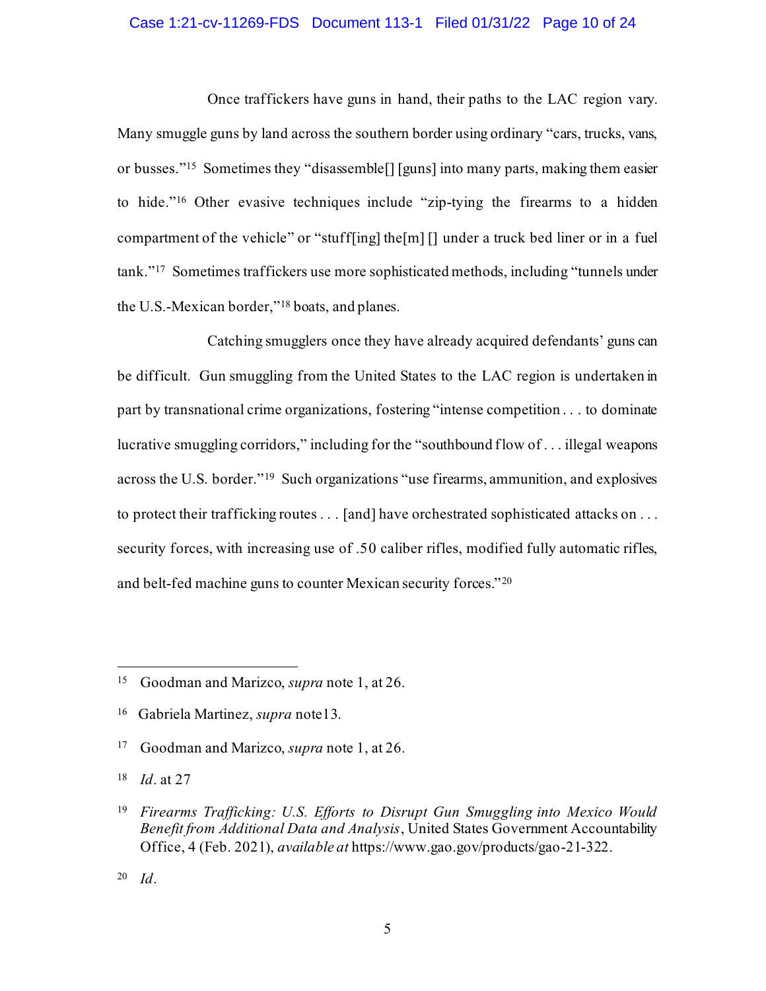## Case 1:21-cv-11269-FDS Document 113-1 Filed 01/31/22 Page 10 of 24

Once traffickers have guns in hand, their paths to the LAC region vary. Many smuggle guns by land across the southern border using ordinary "cars, trucks, vans, or busses."<sup>15</sup> Sometimes they "disassemble[] [guns] into many parts, making them easier to hide." <sup>16</sup> Other evasive techniques include "zip-tying the firearms to a hidden compartment of the vehicle" or "stuff[ing] the[m] [] under a truck bed liner or in a fuel tank."<sup>17</sup> Sometimes traffickers use more sophisticated methods, including "tunnels under the U.S.-Mexican border," <sup>18</sup> boats, and planes.

Catching smugglers once they have already acquired defendants' guns can be difficult. Gun smuggling from the United States to the LAC region is undertaken in part by transnational crime organizations, fostering "intense competition . . . to dominate lucrative smuggling corridors," including for the "southbound flow of . . . illegal weapons across the U.S. border."<sup>19</sup> Such organizations "use firearms, ammunition, and explosives to protect their trafficking routes . . . [and] have orchestrated sophisticated attacks on . . . security forces, with increasing use of .50 caliber rifles, modified fully automatic rifles, and belt-fed machine guns to counter Mexican security forces."<sup>20</sup>

<sup>15</sup> Goodman and Marizco, *supra* note 1, at 26.

<sup>16</sup> Gabriela Martinez, *supra* note13.

<sup>17</sup> Goodman and Marizco, *supra* note 1, at 26.

<span id="page-9-0"></span><sup>18</sup> *Id*. at 27

<sup>19</sup> *Firearms Trafficking: U.S. Efforts to Disrupt Gun Smuggling into Mexico Would Benefit from Additional Data and Analysis*, United States Government Accountability Office, 4 (Feb. 2021), *available at* https://www.gao.gov/products/gao-21-322.

<sup>20</sup> *Id*.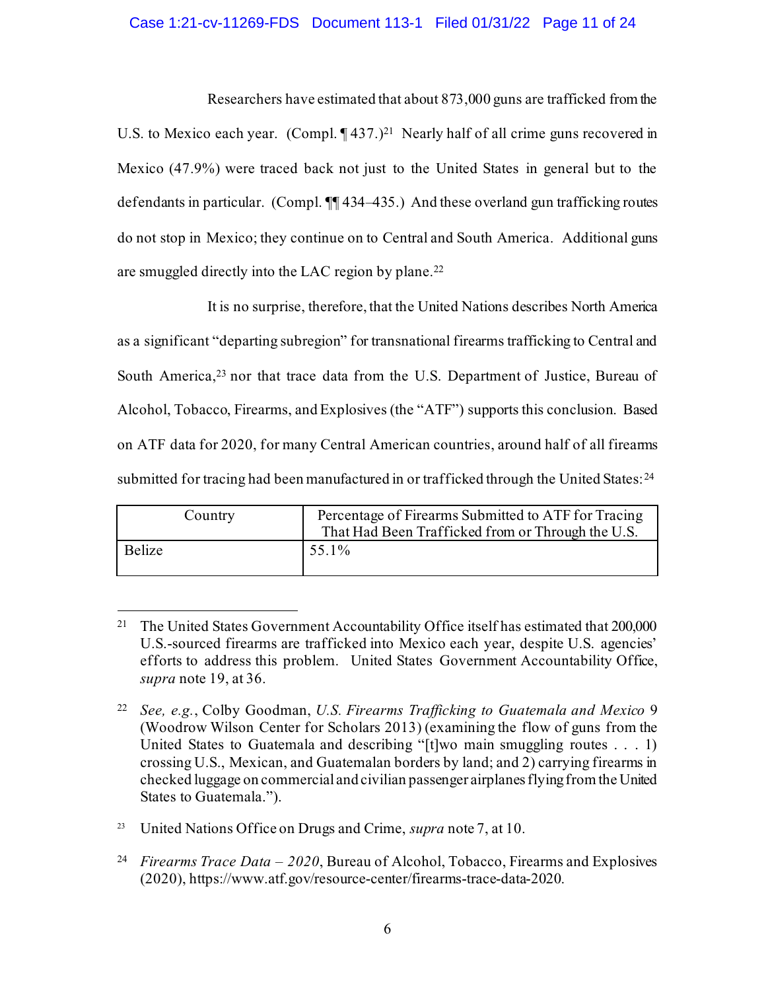## Case 1:21-cv-11269-FDS Document 113-1 Filed 01/31/22 Page 11 of 24

Researchers have estimated that about 873,000 guns are trafficked from the U.S. to Mexico each year.  $(Comp1, \P437.)^{21}$  Nearly half of all crime guns recovered in Mexico (47.9%) were traced back not just to the United States in general but to the defendants in particular. (Compl. ¶¶ 434–435.) And these overland gun trafficking routes do not stop in Mexico; they continue on to Central and South America. Additional guns are smuggled directly into the LAC region by plane.<sup>22</sup>

It is no surprise, therefore, that the United Nations describes North America as a significant "departing subregion" for transnational firearms trafficking to Central and South America, <sup>23</sup> nor that trace data from the U.S. Department of Justice, Bureau of Alcohol, Tobacco, Firearms, and Explosives (the "ATF") supports this conclusion. Based on ATF data for 2020, for many Central American countries, around half of all firearms submitted for tracing had been manufactured in or trafficked through the United States:<sup>24</sup>

| Country | Percentage of Firearms Submitted to ATF for Tracing<br>That Had Been Trafficked from or Through the U.S. |
|---------|----------------------------------------------------------------------------------------------------------|
| Belize  | 55.1%                                                                                                    |

<sup>&</sup>lt;sup>21</sup> The United States Government Accountability Office itself has estimated that 200,000 U.S.-sourced firearms are trafficked into Mexico each year, despite U.S. agencies' efforts to address this problem. United States Government Accountability Office, *supra* note 19, at 36.

<span id="page-10-0"></span><sup>22</sup> *See, e.g.*, Colby Goodman, *U.S. Firearms Trafficking to Guatemala and Mexico* 9 (Woodrow Wilson Center for Scholars 2013) (examining the flow of guns from the United States to Guatemala and describing "[t]wo main smuggling routes . . . 1) crossing U.S., Mexican, and Guatemalan borders by land; and 2) carrying firearms in checked luggage on commercial and civilian passenger airplanes flying from the United States to Guatemala.").

<sup>&</sup>lt;sup>23</sup> United Nations Office on Drugs and Crime, *supra* note 7, at 10.

<sup>24</sup> *Firearms Trace Data – 2020*, Bureau of Alcohol, Tobacco, Firearms and Explosives (2020), https://www.atf.gov/resource-center/firearms-trace-data-2020.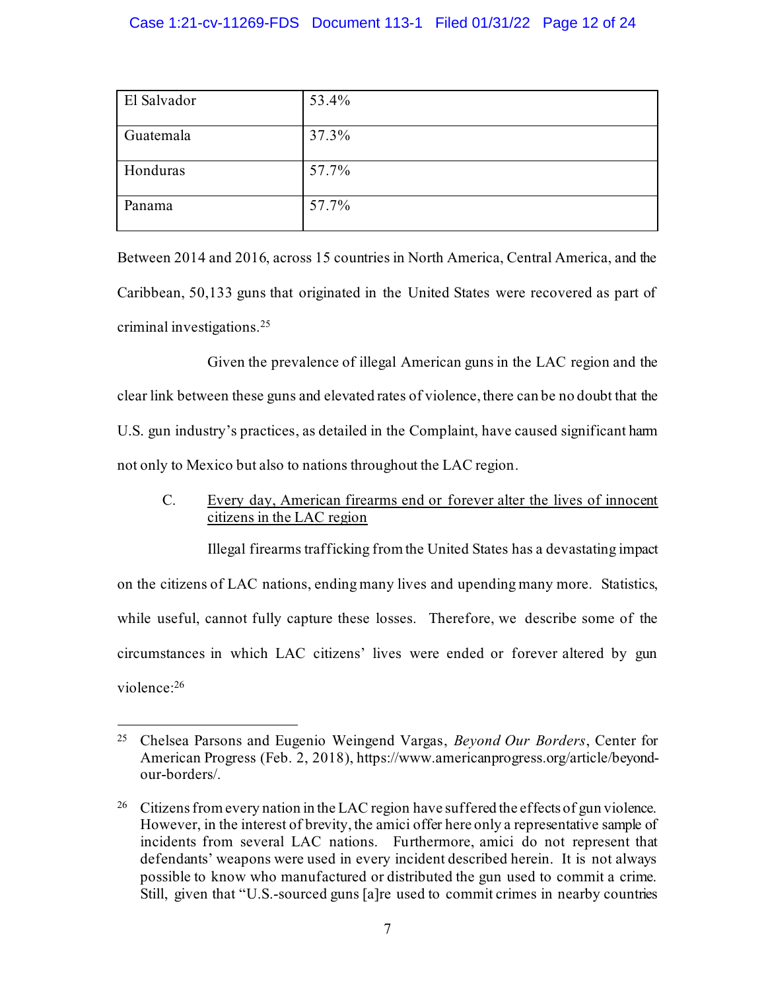# Case 1:21-cv-11269-FDS Document 113-1 Filed 01/31/22 Page 12 of 24

| El Salvador | 53.4% |
|-------------|-------|
| Guatemala   | 37.3% |
| Honduras    | 57.7% |
| Panama      | 57.7% |

Between 2014 and 2016, across 15 countries in North America, Central America, and the Caribbean, 50,133 guns that originated in the United States were recovered as part of criminal investigations.<sup>25</sup>

Given the prevalence of illegal American guns in the LAC region and the clear link between these guns and elevated rates of violence, there can be no doubt that the U.S. gun industry's practices, as detailed in the Complaint, have caused significant harm not only to Mexico but also to nations throughout the LAC region.

<span id="page-11-0"></span>C. Every day, American firearms end or forever alter the lives of innocent citizens in the LAC region

Illegal firearms trafficking from the United States has a devastating impact on the citizens of LAC nations, ending many lives and upending many more. Statistics, while useful, cannot fully capture these losses. Therefore, we describe some of the circumstances in which LAC citizens' lives were ended or forever altered by gun violence:<sup>26</sup>

<span id="page-11-1"></span><sup>25</sup> Chelsea Parsons and Eugenio Weingend Vargas, *Beyond Our Borders*, Center for American Progress (Feb. 2, 2018), https://www.americanprogress.org/article/beyondour-borders/.

<sup>&</sup>lt;sup>26</sup> Citizens from every nation in the LAC region have suffered the effects of gun violence. However, in the interest of brevity, the amici offer here only a representative sample of incidents from several LAC nations. Furthermore, amici do not represent that defendants' weapons were used in every incident described herein. It is not always possible to know who manufactured or distributed the gun used to commit a crime. Still, given that "U.S.-sourced guns [a]re used to commit crimes in nearby countries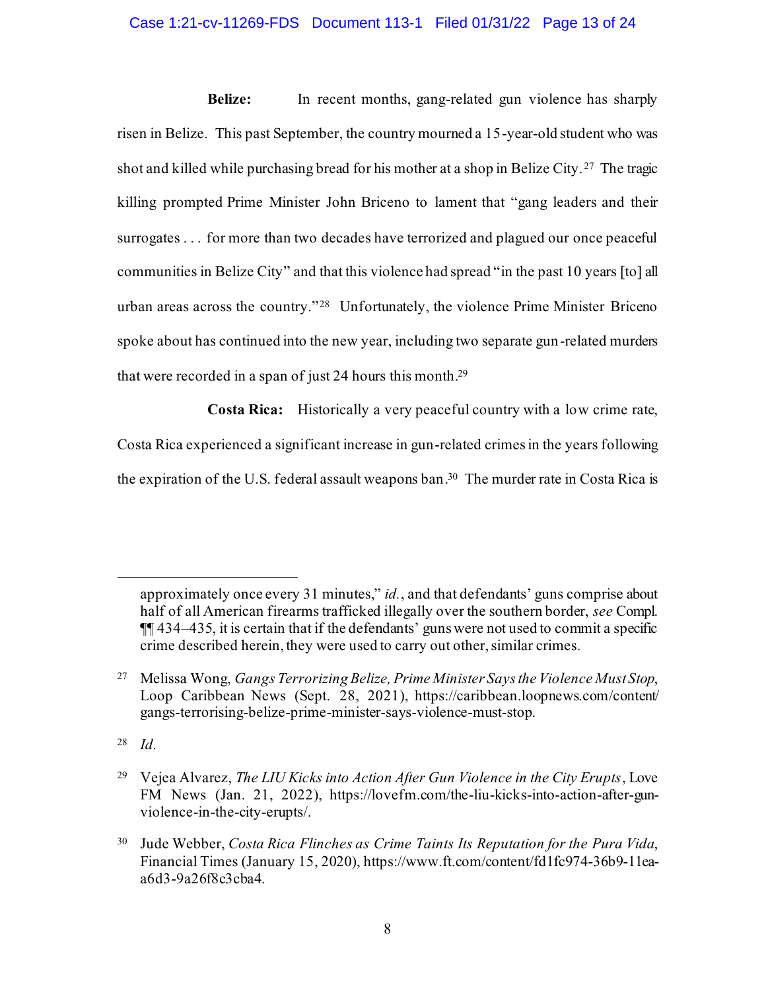## Case 1:21-cv-11269-FDS Document 113-1 Filed 01/31/22 Page 13 of 24

**Belize:** In recent months, gang-related gun violence has sharply risen in Belize. This past September, the country mourned a 15-year-old student who was shot and killed while purchasing bread for his mother at a shop in Belize City. <sup>27</sup> The tragic killing prompted Prime Minister John Briceno to lament that "gang leaders and their surrogates . . . for more than two decades have terrorized and plagued our once peaceful communities in Belize City" and that this violence had spread "in the past 10 years [to] all urban areas across the country."<sup>28</sup> Unfortunately, the violence Prime Minister Briceno spoke about has continued into the new year, including two separate gun-related murders that were recorded in a span of just 24 hours this month. 29

**Costa Rica:** Historically a very peaceful country with a low crime rate, Costa Rica experienced a significant increase in gun-related crimes in the years following the expiration of the U.S. federal assault weapons ban. 30 The murder rate in Costa Rica is

<sup>28</sup> *Id.*

<span id="page-12-0"></span>approximately once every 31 minutes," *id.*, and that defendants' guns comprise about half of all American firearms trafficked illegally over the southern border, *see* Compl. ¶¶ 434–435, it is certain that if the defendants' guns were not used to commit a specific crime described herein, they were used to carry out other, similar crimes.

<span id="page-12-2"></span><sup>27</sup> Melissa Wong, *Gangs Terrorizing Belize, Prime Minister Says the Violence Must Stop*, Loop Caribbean News (Sept. 28, 2021), https://caribbean.loopnews.com/content/ gangs-terrorising-belize-prime-minister-says-violence-must-stop.

<span id="page-12-3"></span><sup>29</sup> Vejea Alvarez, *The LIU Kicks into Action After Gun Violence in the City Erupts*, Love FM News (Jan. 21, 2022), https://lovefm.com/the-liu-kicks-into-action-after-gunviolence-in-the-city-erupts/.

<span id="page-12-1"></span><sup>30</sup> Jude Webber, *Costa Rica Flinches as Crime Taints Its Reputation for the Pura Vida*, Financial Times (January 15, 2020), https://www.ft.com/content/fd1fc974-36b9-11eaa6d3-9a26f8c3cba4.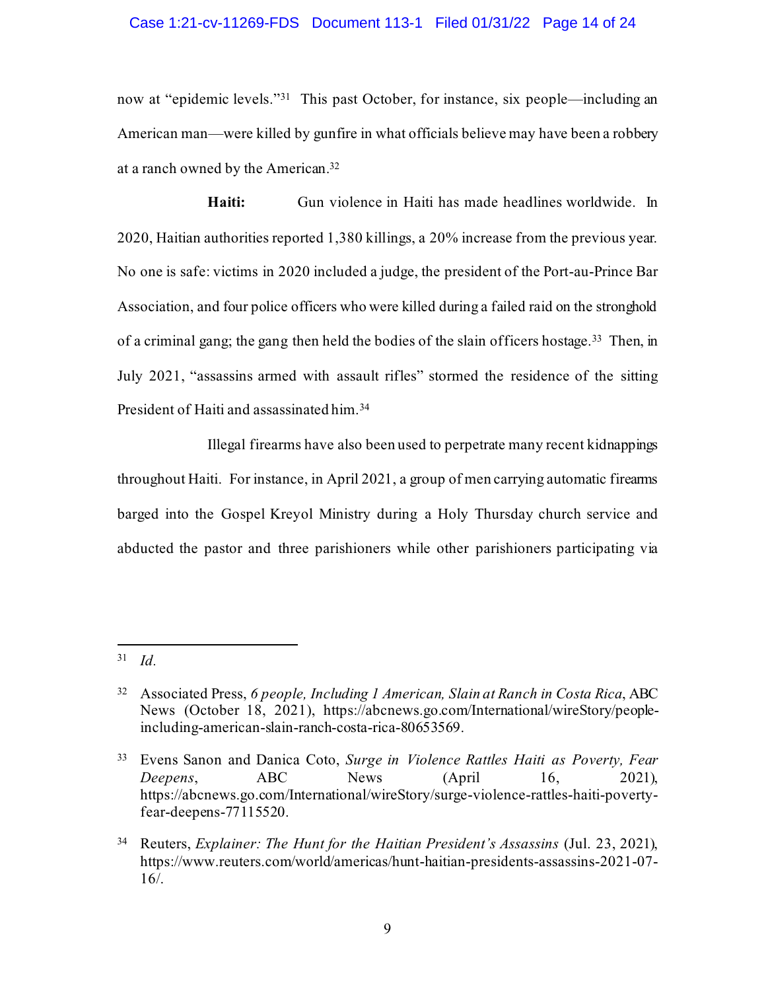#### Case 1:21-cv-11269-FDS Document 113-1 Filed 01/31/22 Page 14 of 24

now at "epidemic levels."<sup>31</sup> This past October, for instance, six people—including an American man—were killed by gunfire in what officials believe may have been a robbery at a ranch owned by the American.<sup>32</sup>

**Haiti:** Gun violence in Haiti has made headlines worldwide. In 2020, Haitian authorities reported 1,380 killings, a 20% increase from the previous year. No one is safe: victims in 2020 included a judge, the president of the Port-au-Prince Bar Association, and four police officers who were killed during a failed raid on the stronghold of a criminal gang; the gang then held the bodies of the slain officers hostage.<sup>33</sup> Then, in July 2021, "assassins armed with assault rifles" stormed the residence of the sitting President of Haiti and assassinated him.<sup>34</sup>

Illegal firearms have also been used to perpetrate many recent kidnappings throughout Haiti. For instance, in April 2021, a group of men carrying automatic firearms barged into the Gospel Kreyol Ministry during a Holy Thursday church service and abducted the pastor and three parishioners while other parishioners participating via

<span id="page-13-1"></span><sup>31</sup> *Id.*

<span id="page-13-0"></span><sup>32</sup> Associated Press, *6 people, Including 1 American, Slain at Ranch in Costa Rica*, ABC News (October 18, 2021), https://abcnews.go.com/International/wireStory/peopleincluding-american-slain-ranch-costa-rica-80653569.

<sup>33</sup> Evens Sanon and Danica Coto, *Surge in Violence Rattles Haiti as Poverty, Fear Deepens*, ABC News (April 16, 2021), https://abcnews.go.com/International/wireStory/surge-violence-rattles-haiti-povertyfear-deepens-77115520.

<sup>34</sup> Reuters, *Explainer: The Hunt for the Haitian President's Assassins* (Jul. 23, 2021), https://www.reuters.com/world/americas/hunt-haitian-presidents-assassins-2021-07- 16/.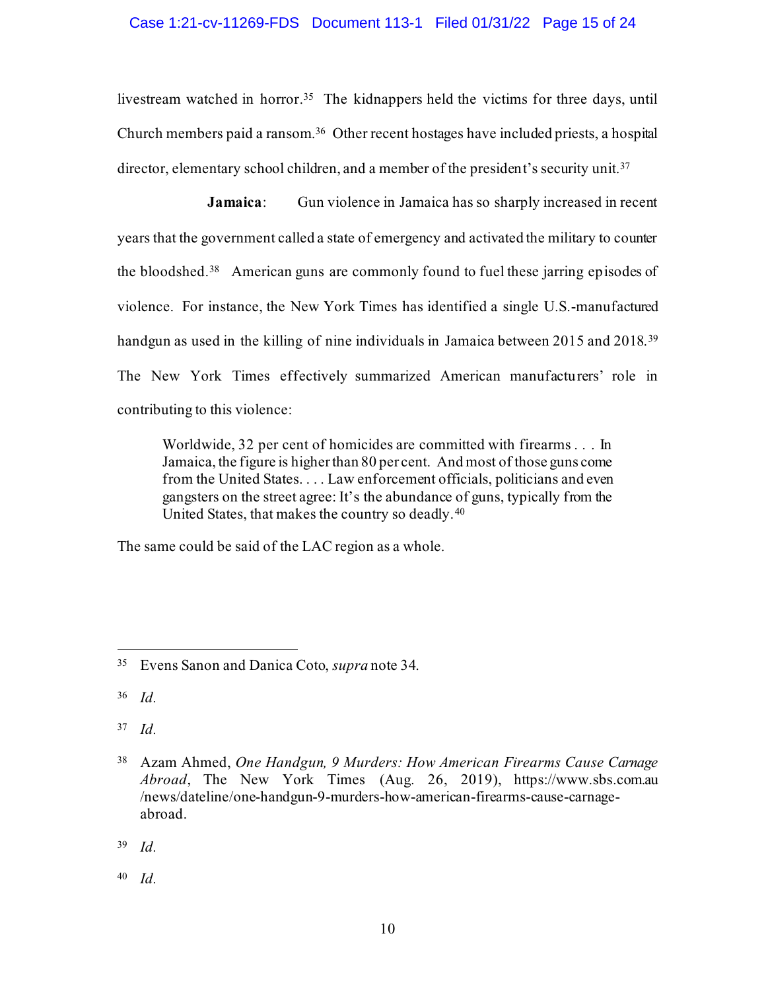## Case 1:21-cv-11269-FDS Document 113-1 Filed 01/31/22 Page 15 of 24

livestream watched in horror.<sup>35</sup> The kidnappers held the victims for three days, until Church members paid a ransom.<sup>36</sup> Other recent hostages have included priests, a hospital director, elementary school children, and a member of the president's security unit.<sup>37</sup>

**Jamaica:** Gun violence in Jamaica has so sharply increased in recent years that the government called a state of emergency and activated the military to counter the bloodshed.<sup>38</sup> American guns are commonly found to fuel these jarring episodes of violence. For instance, the New York Times has identified a single U.S.-manufactured handgun as used in the killing of nine individuals in Jamaica between 2015 and 2018.<sup>39</sup> The New York Times effectively summarized American manufacturers' role in contributing to this violence:

Worldwide, 32 per cent of homicides are committed with firearms . . . In Jamaica, the figure is higher than 80 per cent. And most of those guns come from the United States. . . . Law enforcement officials, politicians and even gangsters on the street agree: It's the abundance of guns, typically from the United States, that makes the country so deadly.<sup>40</sup>

The same could be said of the LAC region as a whole.

<sup>37</sup> *Id.*

<sup>39</sup> *Id.*

<sup>40</sup> *Id.*

<sup>35</sup> Evens Sanon and Danica Coto, *supra* note 34.

<span id="page-14-1"></span><sup>36</sup> *Id.*

<span id="page-14-0"></span><sup>38</sup> Azam Ahmed, *One Handgun, 9 Murders: How American Firearms Cause Carnage Abroad*, The New York Times (Aug. 26, 2019), https://www.sbs.com.au /news/dateline/one-handgun-9-murders-how-american-firearms-cause-carnageabroad.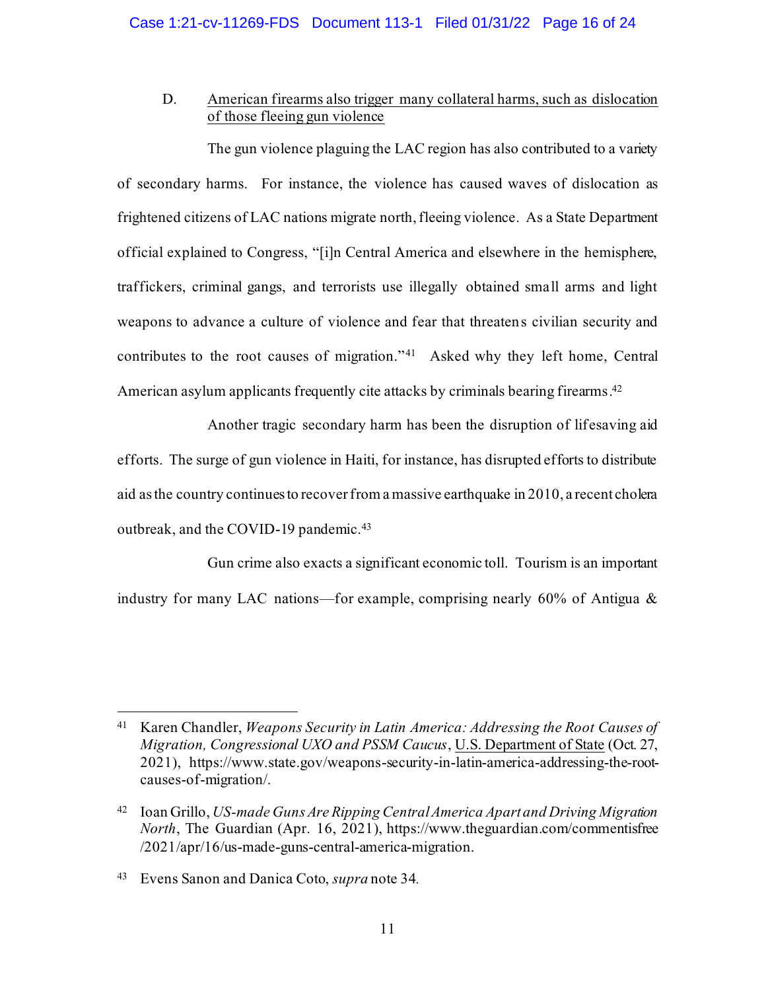# <span id="page-15-0"></span>D. American firearms also trigger many collateral harms, such as dislocation of those fleeing gun violence

The gun violence plaguing the LAC region has also contributed to a variety of secondary harms. For instance, the violence has caused waves of dislocation as frightened citizens of LAC nations migrate north, fleeing violence. As a State Department official explained to Congress, "[i]n Central America and elsewhere in the hemisphere, traffickers, criminal gangs, and terrorists use illegally obtained small arms and light weapons to advance a culture of violence and fear that threatens civilian security and contributes to the root causes of migration."<sup>41</sup> Asked why they left home, Central American asylum applicants frequently cite attacks by criminals bearing firearms. 42

Another tragic secondary harm has been the disruption of lifesaving aid efforts. The surge of gun violence in Haiti, for instance, has disrupted efforts to distribute aid as the country continues to recover from a massive earthquake in 2010, a recent cholera outbreak, and the COVID-19 pandemic.<sup>43</sup>

Gun crime also exacts a significant economic toll. Tourism is an important industry for many LAC nations—for example, comprising nearly 60% of Antigua &

<span id="page-15-2"></span><sup>41</sup> Karen Chandler, *Weapons Security in Latin America: Addressing the Root Causes of Migration, Congressional UXO and PSSM Caucus*, U.S. Department of State (Oct. 27, 2021), https://www.state.gov/weapons-security-in-latin-america-addressing-the-rootcauses-of-migration/.

<span id="page-15-1"></span><sup>42</sup> Ioan Grillo, *US-made Guns Are Ripping Central America Apart and Driving Migration North*, The Guardian (Apr. 16, 2021), https://www.theguardian.com/commentisfree /2021/apr/16/us-made-guns-central-america-migration.

<sup>43</sup> Evens Sanon and Danica Coto, *supra* note 34.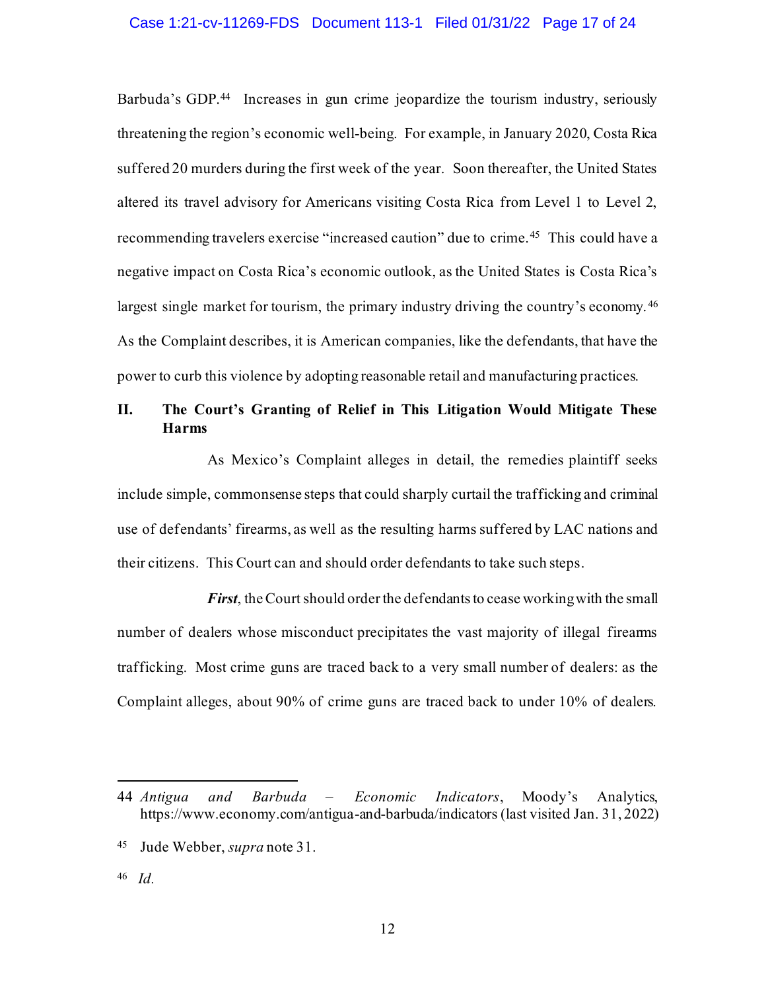#### Case 1:21-cv-11269-FDS Document 113-1 Filed 01/31/22 Page 17 of 24

Barbuda's GDP.<sup>44</sup> Increases in gun crime jeopardize the tourism industry, seriously threatening the region's economic well-being. For example, in January 2020, Costa Rica suffered 20 murders during the first week of the year. Soon thereafter, the United States altered its travel advisory for Americans visiting Costa Rica from Level 1 to Level 2, recommending travelers exercise "increased caution" due to crime.<sup>45</sup> This could have a negative impact on Costa Rica's economic outlook, as the United States is Costa Rica's largest single market for tourism, the primary industry driving the country's economy.<sup>46</sup> As the Complaint describes, it is American companies, like the defendants, that have the power to curb this violence by adopting reasonable retail and manufacturing practices.

# <span id="page-16-0"></span>**II. The Court's Granting of Relief in This Litigation Would Mitigate These Harms**

As Mexico's Complaint alleges in detail, the remedies plaintiff seeks include simple, commonsense steps that could sharply curtail the trafficking and criminal use of defendants' firearms, as well as the resulting harms suffered by LAC nations and their citizens. This Court can and should order defendants to take such steps.

*First*, the Court should order the defendants to cease working with the small number of dealers whose misconduct precipitates the vast majority of illegal firearms trafficking. Most crime guns are traced back to a very small number of dealers: as the Complaint alleges, about 90% of crime guns are traced back to under 10% of dealers.

<sup>44</sup> *Antigua and Barbuda – Economic Indicators*, Moody's Analytics, https://www.economy.com/antigua-and-barbuda/indicators (last visited Jan. 31, 2022)

<sup>45</sup> Jude Webber, *supra* note 31.

<span id="page-16-1"></span><sup>46</sup> *Id.*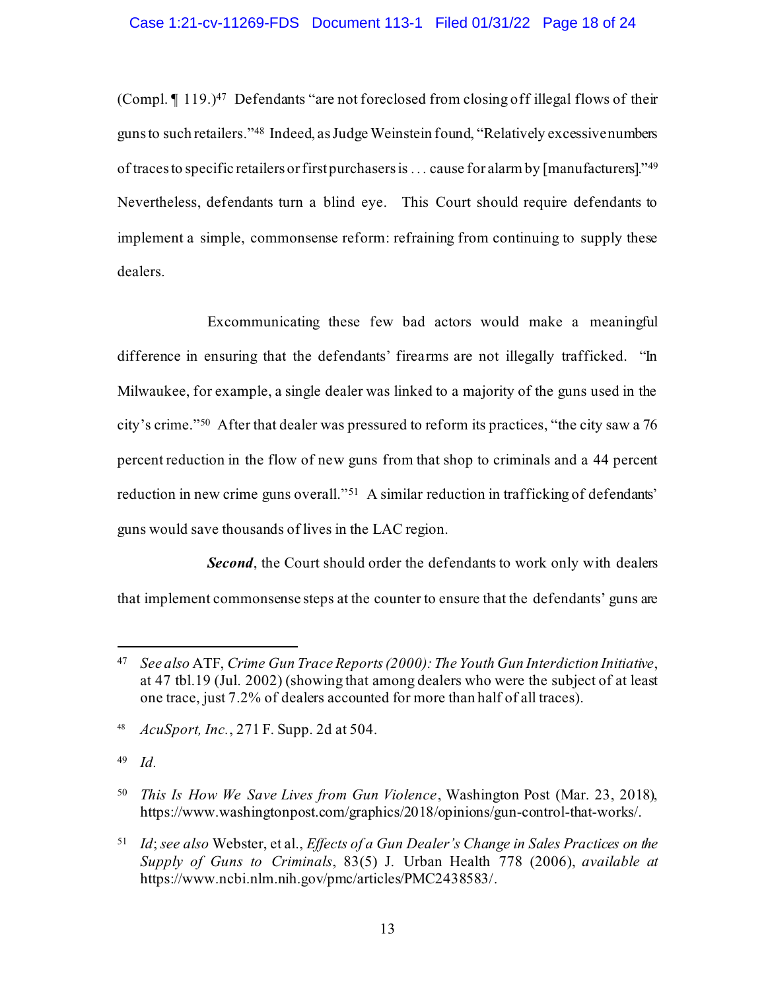(Compl. ¶ 119.) <sup>47</sup> Defendants "are not foreclosed from closing off illegal flows of their guns to such retailers." 48 Indeed, as Judge Weinstein found, "Relatively excessive numbers of traces to specific retailers or first purchasers is . . . cause for alarm by [manufacturers]." 49 Nevertheless, defendants turn a blind eye. This Court should require defendants to implement a simple, commonsense reform: refraining from continuing to supply these dealers.

Excommunicating these few bad actors would make a meaningful difference in ensuring that the defendants' firearms are not illegally trafficked. "In Milwaukee, for example, a single dealer was linked to a majority of the guns used in the city's crime."<sup>50</sup> After that dealer was pressured to reform its practices, "the city saw a 76 percent reduction in the flow of new guns from that shop to criminals and a 44 percent reduction in new crime guns overall."<sup>51</sup> A similar reduction in trafficking of defendants' guns would save thousands of lives in the LAC region.

**Second**, the Court should order the defendants to work only with dealers that implement commonsense steps at the counter to ensure that the defendants' guns are

<sup>49</sup> *Id.*

<sup>47</sup> *See also* ATF, *Crime Gun Trace Reports (2000): The Youth Gun Interdiction Initiative*, at 47 tbl.19 (Jul. 2002) (showing that among dealers who were the subject of at least one trace, just 7.2% of dealers accounted for more than half of all traces).

<sup>48</sup> *AcuSport, Inc.*, 271 F. Supp. 2d at 504.

<span id="page-17-1"></span><sup>50</sup> *This Is How We Save Lives from Gun Violence*, Washington Post (Mar. 23, 2018), https://www.washingtonpost.com/graphics/2018/opinions/gun-control-that-works/.

<span id="page-17-0"></span><sup>51</sup> *Id*; *see also* Webster, et al., *Effects of a Gun Dealer's Change in Sales Practices on the Supply of Guns to Criminals*, 83(5) J. Urban Health 778 (2006), *available at* https://www.ncbi.nlm.nih.gov/pmc/articles/PMC2438583/.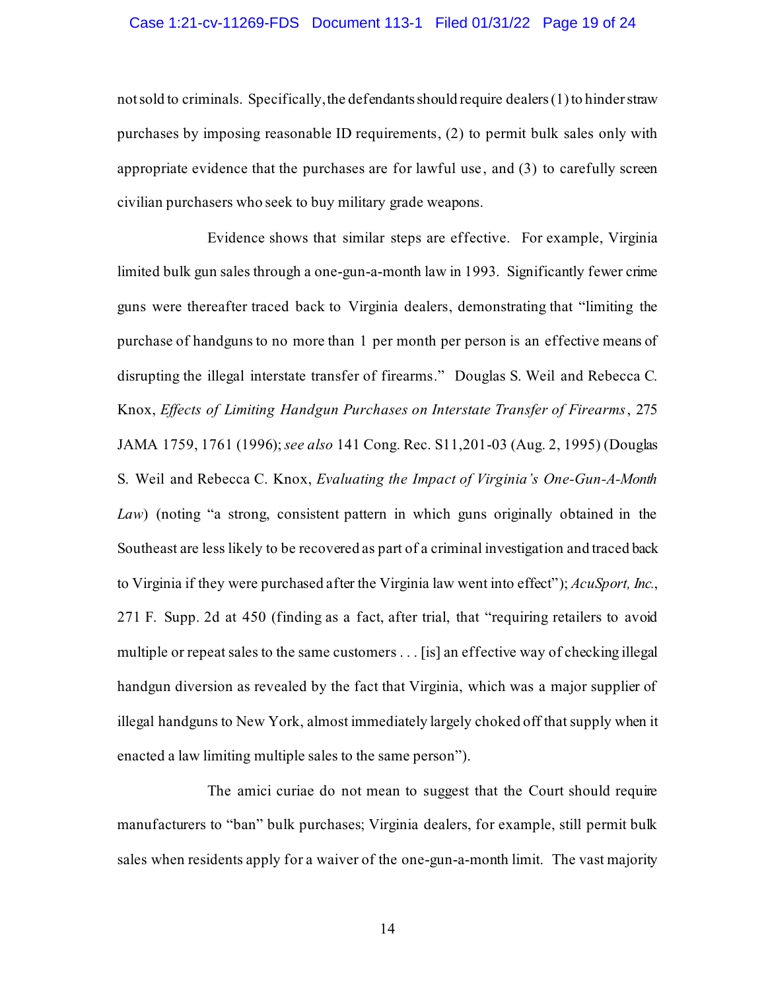#### Case 1:21-cv-11269-FDS Document 113-1 Filed 01/31/22 Page 19 of 24

not sold to criminals. Specifically, the defendants should require dealers(1) to hinder straw purchases by imposing reasonable ID requirements, (2) to permit bulk sales only with appropriate evidence that the purchases are for lawful use, and (3) to carefully screen civilian purchasers who seek to buy military grade weapons.

<span id="page-18-0"></span>Evidence shows that similar steps are effective. For example, Virginia limited bulk gun sales through a one-gun-a-month law in 1993. Significantly fewer crime guns were thereafter traced back to Virginia dealers, demonstrating that "limiting the purchase of handguns to no more than 1 per month per person is an effective means of disrupting the illegal interstate transfer of firearms." Douglas S. Weil and Rebecca C. Knox, *Effects of Limiting Handgun Purchases on Interstate Transfer of Firearms*, 275 JAMA 1759, 1761 (1996); *see also* 141 Cong. Rec. S11,201-03 (Aug. 2, 1995) (Douglas S. Weil and Rebecca C. Knox, *Evaluating the Impact of Virginia's One‐Gun‐A‐Month Law*) (noting "a strong, consistent pattern in which guns originally obtained in the Southeast are less likely to be recovered as part of a criminal investigation and traced back to Virginia if they were purchased after the Virginia law went into effect"); *AcuSport, Inc.*, 271 F. Supp. 2d at 450 (finding as a fact, after trial, that "requiring retailers to avoid multiple or repeat sales to the same customers . . . [is] an effective way of checking illegal handgun diversion as revealed by the fact that Virginia, which was a major supplier of illegal handguns to New York, almost immediately largely choked off that supply when it enacted a law limiting multiple sales to the same person").

The amici curiae do not mean to suggest that the Court should require manufacturers to "ban" bulk purchases; Virginia dealers, for example, still permit bulk sales when residents apply for a waiver of the one-gun-a-month limit. The vast majority

14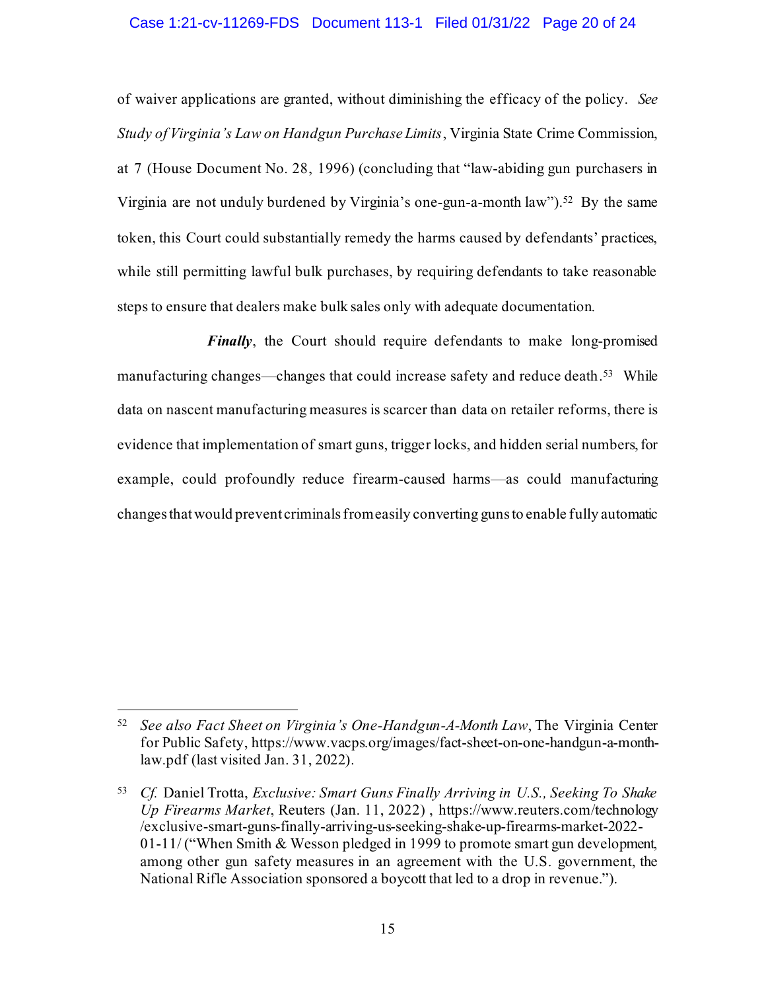#### Case 1:21-cv-11269-FDS Document 113-1 Filed 01/31/22 Page 20 of 24

of waiver applications are granted, without diminishing the efficacy of the policy. *See Study of Virginia's Law on Handgun Purchase Limits*, Virginia State Crime Commission, at 7 (House Document No. 28, 1996) (concluding that "law-abiding gun purchasers in Virginia are not unduly burdened by Virginia's one-gun-a-month law"). 52 By the same token, this Court could substantially remedy the harms caused by defendants' practices, while still permitting lawful bulk purchases, by requiring defendants to take reasonable steps to ensure that dealers make bulk sales only with adequate documentation.

*Finally*, the Court should require defendants to make long-promised manufacturing changes—changes that could increase safety and reduce death.<sup>53</sup> While data on nascent manufacturing measures is scarcer than data on retailer reforms, there is evidence that implementation of smart guns, trigger locks, and hidden serial numbers, for example, could profoundly reduce firearm-caused harms—as could manufacturing changes that would prevent criminals from easily converting guns to enable fully automatic

<sup>52</sup> *See also Fact Sheet on Virginia's One-Handgun-A-Month Law*, The Virginia Center for Public Safety, https://www.vacps.org/images/fact-sheet-on-one-handgun-a-monthlaw.pdf (last visited Jan. 31, 2022).

<span id="page-19-0"></span><sup>53</sup> *Cf.* Daniel Trotta, *Exclusive: Smart Guns Finally Arriving in U.S., Seeking To Shake Up Firearms Market*, Reuters (Jan. 11, 2022) , https://www.reuters.com/technology /exclusive-smart-guns-finally-arriving-us-seeking-shake-up-firearms-market-2022- 01-11/ ("When Smith & Wesson pledged in 1999 to promote smart gun development, among other gun safety measures in an agreement with the U.S. government, the National Rifle Association sponsored a boycott that led to a drop in revenue.").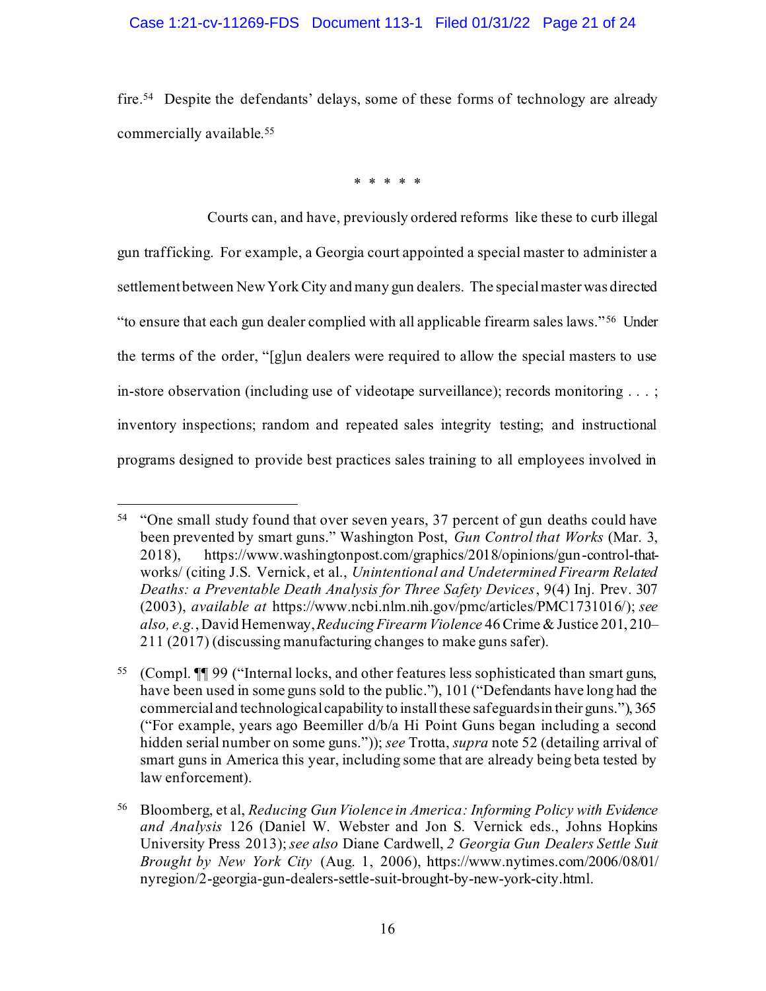# Case 1:21-cv-11269-FDS Document 113-1 Filed 01/31/22 Page 21 of 24

fire. 54 Despite the defendants' delays, some of these forms of technology are already commercially available. 55

\* \* \* \* \*

Courts can, and have, previously ordered reforms like these to curb illegal gun trafficking. For example, a Georgia court appointed a special master to administer a settlement between New York City and many gun dealers. The special master was directed "to ensure that each gun dealer complied with all applicable firearm sales laws."<sup>56</sup> Under the terms of the order, "[g]un dealers were required to allow the special masters to use in-store observation (including use of videotape surveillance); records monitoring . . . ; inventory inspections; random and repeated sales integrity testing; and instructional programs designed to provide best practices sales training to all employees involved in

<span id="page-20-2"></span><sup>&</sup>lt;sup>54</sup> "One small study found that over seven years, 37 percent of gun deaths could have been prevented by smart guns." Washington Post, *Gun Control that Works* (Mar. 3, 2018), https://www.washingtonpost.com/graphics/2018/opinions/gun-control-thatworks/ (citing J.S. Vernick, et al., *Unintentional and Undetermined Firearm Related Deaths: a Preventable Death Analysis for Three Safety Devices*, 9(4) Inj. Prev. 307 (2003), *available at* https://www.ncbi.nlm.nih.gov/pmc/articles/PMC1731016/); *see also, e.g.*, David Hemenway, *Reducing Firearm Violence* 46 Crime & Justice 201, 210– 211 (2017) (discussing manufacturing changes to make guns safer).

<span id="page-20-1"></span><sup>55</sup> (Compl. ¶¶ 99 ("Internal locks, and other features less sophisticated than smart guns, have been used in some guns sold to the public."), 101 ("Defendants have long had the commercial and technological capability to install these safeguards in their guns."), 365 ("For example, years ago Beemiller d/b/a Hi Point Guns began including a second hidden serial number on some guns.")); *see* Trotta, *supra* note 52 (detailing arrival of smart guns in America this year, including some that are already being beta tested by law enforcement).

<span id="page-20-0"></span><sup>56</sup> Bloomberg, et al, *Reducing Gun Violence in America: Informing Policy with Evidence and Analysis* 126 (Daniel W. Webster and Jon S. Vernick eds., Johns Hopkins University Press 2013); *see also* Diane Cardwell, *2 Georgia Gun Dealers Settle Suit Brought by New York City* (Aug. 1, 2006), https://www.nytimes.com/2006/08/01/ nyregion/2-georgia-gun-dealers-settle-suit-brought-by-new-york-city.html.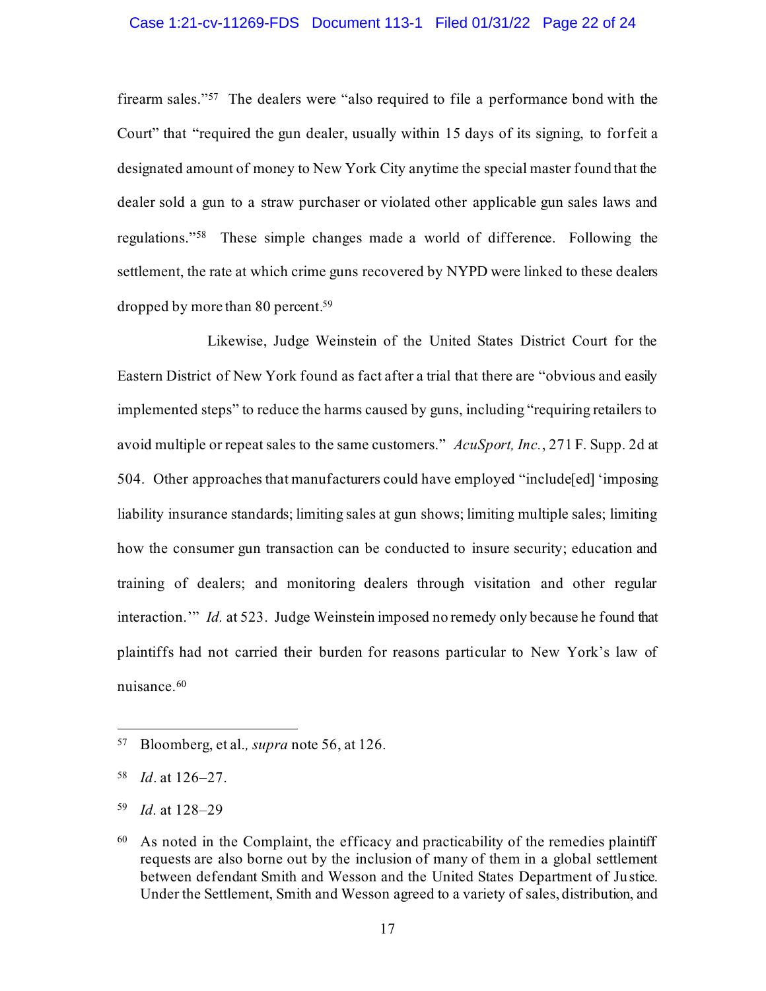#### Case 1:21-cv-11269-FDS Document 113-1 Filed 01/31/22 Page 22 of 24

firearm sales."<sup>57</sup> The dealers were "also required to file a performance bond with the Court" that "required the gun dealer, usually within 15 days of its signing, to forfeit a designated amount of money to New York City anytime the special master found that the dealer sold a gun to a straw purchaser or violated other applicable gun sales laws and regulations."<sup>58</sup> These simple changes made a world of difference. Following the settlement, the rate at which crime guns recovered by NYPD were linked to these dealers dropped by more than 80 percent. 59

Likewise, Judge Weinstein of the United States District Court for the Eastern District of New York found as fact after a trial that there are "obvious and easily implemented steps" to reduce the harms caused by guns, including "requiring retailers to avoid multiple or repeat sales to the same customers." *AcuSport, Inc.*, 271 F. Supp. 2d at 504. Other approaches that manufacturers could have employed "include[ed] 'imposing liability insurance standards; limiting sales at gun shows; limiting multiple sales; limiting how the consumer gun transaction can be conducted to insure security; education and training of dealers; and monitoring dealers through visitation and other regular interaction.'" *Id.* at 523. Judge Weinstein imposed no remedy only because he found that plaintiffs had not carried their burden for reasons particular to New York's law of nuisance.<sup>60</sup>

<sup>57</sup> Bloomberg, et al.*, supra* note 56, at 126.

<sup>58</sup> *Id*. at 126–27.

<span id="page-21-0"></span><sup>59</sup> *Id.* at 128–29

<sup>60</sup> As noted in the Complaint, the efficacy and practicability of the remedies plaintiff requests are also borne out by the inclusion of many of them in a global settlement between defendant Smith and Wesson and the United States Department of Justice. Under the Settlement, Smith and Wesson agreed to a variety of sales, distribution, and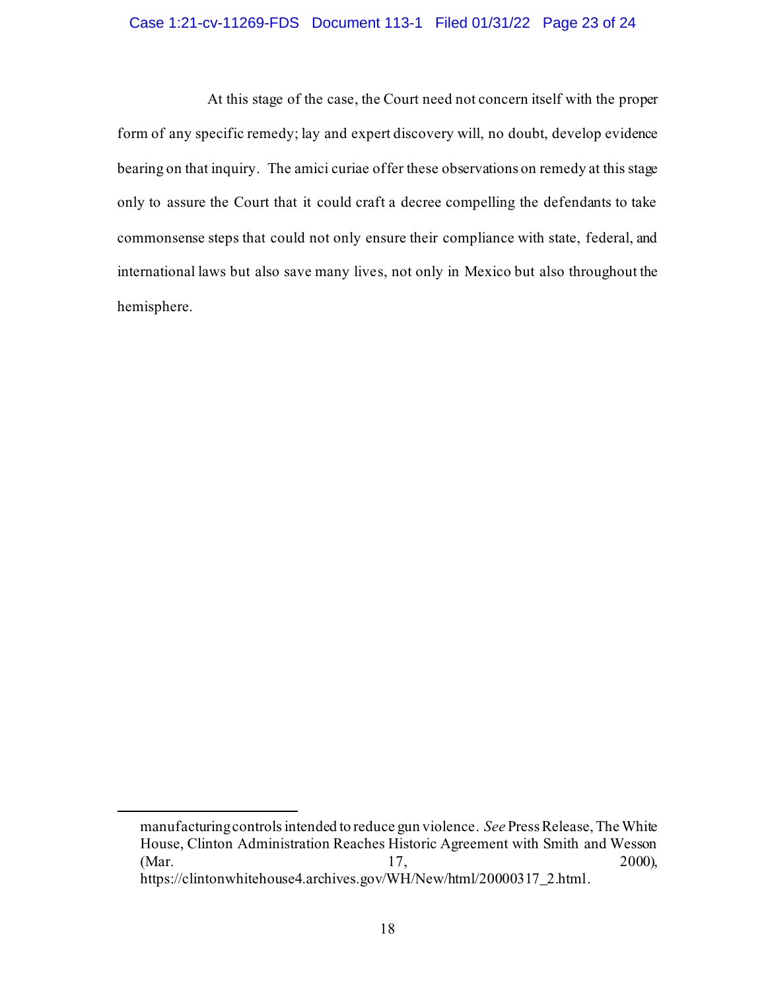#### Case 1:21-cv-11269-FDS Document 113-1 Filed 01/31/22 Page 23 of 24

At this stage of the case, the Court need not concern itself with the proper form of any specific remedy; lay and expert discovery will, no doubt, develop evidence bearing on that inquiry. The amici curiae offer these observations on remedy at this stage only to assure the Court that it could craft a decree compelling the defendants to take commonsense steps that could not only ensure their compliance with state, federal, and international laws but also save many lives, not only in Mexico but also throughout the hemisphere.

manufacturing controls intended to reduce gun violence. *See* Press Release, The White House, Clinton Administration Reaches Historic Agreement with Smith and Wesson (Mar. 2000), 2000), https://clintonwhitehouse4.archives.gov/WH/New/html/20000317\_2.html.